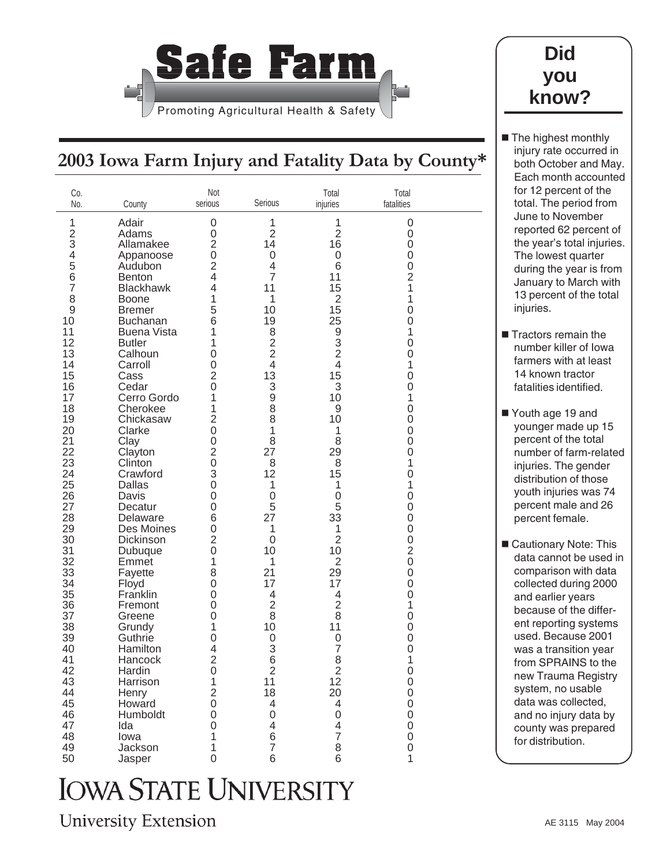

## **Did you know?**

The highest monthly injury rate occurred in both October and May. Each month accounted for 12 percent of the total. The period from June to November reported 62 percent of the year's total injuries. The lowest quarter during the year is from January to March with 13 percent of the total

injuries.

**Tractors remain the** number killer of Iowa farmers with at least 14 known tractor fatalities identified.

■ Youth age 19 and younger made up 15 percent of the total number of farm-related injuries. The gender distribution of those youth injuries was 74 percent male and 26 percent female.

■ Cautionary Note: This data cannot be used in comparison with data collected during 2000 and earlier years because of the different reporting systems used. Because 2001 was a transition year from SPRAINS to the new Trauma Registry system, no usable data was collected, and no injury data by county was prepared for distribution.

## **2003 Iowa Farm Injury and Fatality Data by County\***

| Co.<br>No.                                                                                                                                                                                                                                  | County                                                                                                                                                                                                                                                                                                                                                                                                                                                                                | Not<br>serious                                                                                                                                                                                                                                                                                                                                | Serious                                                                                                                                                                                                                                                                                                                                   | Total<br>injuries                                                                                                                                                                                                                                                                                                             | Total<br>fatalities                                                                                                                                                                                                                                                                                                      |  |
|---------------------------------------------------------------------------------------------------------------------------------------------------------------------------------------------------------------------------------------------|---------------------------------------------------------------------------------------------------------------------------------------------------------------------------------------------------------------------------------------------------------------------------------------------------------------------------------------------------------------------------------------------------------------------------------------------------------------------------------------|-----------------------------------------------------------------------------------------------------------------------------------------------------------------------------------------------------------------------------------------------------------------------------------------------------------------------------------------------|-------------------------------------------------------------------------------------------------------------------------------------------------------------------------------------------------------------------------------------------------------------------------------------------------------------------------------------------|-------------------------------------------------------------------------------------------------------------------------------------------------------------------------------------------------------------------------------------------------------------------------------------------------------------------------------|--------------------------------------------------------------------------------------------------------------------------------------------------------------------------------------------------------------------------------------------------------------------------------------------------------------------------|--|
| 1<br>$\frac{2}{3}$<br>4<br>5<br>6<br>$\overline{7}$<br>8<br>9<br>10<br>11<br>12<br>13<br>14<br>15<br>16<br>17<br>18<br>19<br>20<br>21<br>22<br>23<br>24<br>25<br>26<br>27<br>28<br>29<br>30<br>31<br>32<br>33<br>34<br>35<br>36<br>37<br>38 | Adair<br>Adams<br>Allamakee<br>Appanoose<br>Audubon<br><b>Benton</b><br><b>Blackhawk</b><br><b>Boone</b><br><b>Bremer</b><br><b>Buchanan</b><br><b>Buena Vista</b><br><b>Butler</b><br>Calhoun<br>Carroll<br>Cass<br>Cedar<br>Cerro Gordo<br>Cherokee<br>Chickasaw<br>Clarke<br>Clay<br>Clayton<br>Clinton<br>Crawford<br><b>Dallas</b><br>Davis<br>Decatur<br>Delaware<br>Des Moines<br>Dickinson<br>Dubuque<br>Emmet<br>Fayette<br>Floyd<br>Franklin<br>Fremont<br>Greene<br>Grundy | 0<br>$\mathbf 0$<br>$\overline{2}$<br>$\mathsf 0$<br>$\overline{2}$<br>$\overline{4}$<br>4<br>1<br>5<br>6<br>1<br>1<br>0<br>$\overline{0}$<br>$\overline{2}$<br>$\overline{0}$<br>1<br>1<br>$\overline{2}$<br>0<br>0<br>$\overline{2}$<br>0<br>3<br>0<br>0<br>0<br>6<br>0<br>$\overline{2}$<br>$\mathbf 0$<br>1<br>8<br>0<br>0<br>0<br>0<br>1 | 1<br>$\overline{2}$<br>14<br>$\mathsf 0$<br>$\overline{\mathcal{L}}$<br>$\overline{7}$<br>11<br>1<br>10<br>19<br>8<br>$\overline{c}$<br>$\overline{2}$<br>$\overline{4}$<br>13<br>3<br>9<br>8<br>8<br>1<br>8<br>27<br>8<br>12<br>1<br>$\mathbf 0$<br>5<br>27<br>1<br>$\mathbf 0$<br>10<br>1<br>21<br>17<br>4<br>$\overline{2}$<br>8<br>10 | 1<br>$\overline{2}$<br>16<br>$\boldsymbol{0}$<br>6<br>11<br>15<br>$\overline{2}$<br>15<br>25<br>9<br>3<br>$\overline{2}$<br>$\overline{4}$<br>15<br>3<br>10<br>9<br>10<br>1<br>8<br>29<br>8<br>15<br>1<br>$\mathsf 0$<br>5<br>33<br>1<br>$\overline{2}$<br>10<br>$\overline{2}$<br>29<br>17<br>4<br>$\overline{2}$<br>8<br>11 | 0<br>0<br>0<br>0<br>$\mathsf 0$<br>$\overline{2}$<br>1<br>1<br>$\mathsf 0$<br>$\mathsf 0$<br>1<br>$\mathsf 0$<br>0<br>1<br>$\mathsf 0$<br>0<br>1<br>$\mathsf 0$<br>0<br>0<br>0<br>0<br>1<br>$\mathbf 0$<br>1<br>$\mathbf 0$<br>0<br>0<br>0<br>$\mathsf 0$<br>$\overline{2}$<br>$\mathbf 0$<br>0<br>0<br>0<br>1<br>0<br>0 |  |
| 39                                                                                                                                                                                                                                          | Guthrie                                                                                                                                                                                                                                                                                                                                                                                                                                                                               | 0                                                                                                                                                                                                                                                                                                                                             | $\mathbf 0$                                                                                                                                                                                                                                                                                                                               | 0                                                                                                                                                                                                                                                                                                                             | 0                                                                                                                                                                                                                                                                                                                        |  |
| 40                                                                                                                                                                                                                                          | Hamilton                                                                                                                                                                                                                                                                                                                                                                                                                                                                              | 4                                                                                                                                                                                                                                                                                                                                             | 3                                                                                                                                                                                                                                                                                                                                         | $\overline{7}$                                                                                                                                                                                                                                                                                                                | $\mathbf 0$                                                                                                                                                                                                                                                                                                              |  |
| 41                                                                                                                                                                                                                                          | Hancock                                                                                                                                                                                                                                                                                                                                                                                                                                                                               | $\overline{2}$                                                                                                                                                                                                                                                                                                                                | 6                                                                                                                                                                                                                                                                                                                                         | 8                                                                                                                                                                                                                                                                                                                             | 1                                                                                                                                                                                                                                                                                                                        |  |
| 42                                                                                                                                                                                                                                          | Hardin                                                                                                                                                                                                                                                                                                                                                                                                                                                                                | $\boldsymbol{0}$                                                                                                                                                                                                                                                                                                                              | $\overline{2}$                                                                                                                                                                                                                                                                                                                            | $\overline{2}$                                                                                                                                                                                                                                                                                                                | $\mathsf{O}\xspace$                                                                                                                                                                                                                                                                                                      |  |
| 43                                                                                                                                                                                                                                          | Harrison                                                                                                                                                                                                                                                                                                                                                                                                                                                                              | 1                                                                                                                                                                                                                                                                                                                                             | 11                                                                                                                                                                                                                                                                                                                                        | 12                                                                                                                                                                                                                                                                                                                            | 0                                                                                                                                                                                                                                                                                                                        |  |
| 44                                                                                                                                                                                                                                          | Henry                                                                                                                                                                                                                                                                                                                                                                                                                                                                                 | $\overline{2}$                                                                                                                                                                                                                                                                                                                                | 18                                                                                                                                                                                                                                                                                                                                        | 20                                                                                                                                                                                                                                                                                                                            | $\boldsymbol{0}$                                                                                                                                                                                                                                                                                                         |  |
| 45                                                                                                                                                                                                                                          | Howard                                                                                                                                                                                                                                                                                                                                                                                                                                                                                | $\mathbf 0$                                                                                                                                                                                                                                                                                                                                   | 4                                                                                                                                                                                                                                                                                                                                         | 4                                                                                                                                                                                                                                                                                                                             | 0                                                                                                                                                                                                                                                                                                                        |  |
| 46                                                                                                                                                                                                                                          | Humboldt                                                                                                                                                                                                                                                                                                                                                                                                                                                                              | 0                                                                                                                                                                                                                                                                                                                                             | 0                                                                                                                                                                                                                                                                                                                                         | 0                                                                                                                                                                                                                                                                                                                             | 0                                                                                                                                                                                                                                                                                                                        |  |
| 47                                                                                                                                                                                                                                          | Ida                                                                                                                                                                                                                                                                                                                                                                                                                                                                                   | 0                                                                                                                                                                                                                                                                                                                                             | $\overline{\mathcal{A}}$                                                                                                                                                                                                                                                                                                                  | $\overline{4}$                                                                                                                                                                                                                                                                                                                | $\mathbf 0$                                                                                                                                                                                                                                                                                                              |  |
| 48                                                                                                                                                                                                                                          | lowa                                                                                                                                                                                                                                                                                                                                                                                                                                                                                  | 1                                                                                                                                                                                                                                                                                                                                             | 6                                                                                                                                                                                                                                                                                                                                         | $\overline{7}$                                                                                                                                                                                                                                                                                                                | 0                                                                                                                                                                                                                                                                                                                        |  |
| 49                                                                                                                                                                                                                                          | Jackson                                                                                                                                                                                                                                                                                                                                                                                                                                                                               | 1                                                                                                                                                                                                                                                                                                                                             | $\overline{7}$                                                                                                                                                                                                                                                                                                                            | 8                                                                                                                                                                                                                                                                                                                             | 0                                                                                                                                                                                                                                                                                                                        |  |
| 50                                                                                                                                                                                                                                          | Jasper                                                                                                                                                                                                                                                                                                                                                                                                                                                                                | 0                                                                                                                                                                                                                                                                                                                                             | 6                                                                                                                                                                                                                                                                                                                                         | 6                                                                                                                                                                                                                                                                                                                             | 1                                                                                                                                                                                                                                                                                                                        |  |

## **IOWA STATE UNIVERSITY**

**University Extension**